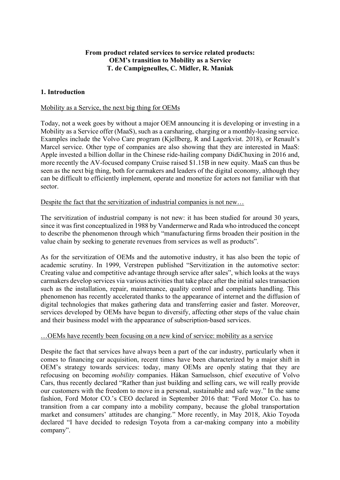# **From product related services to service related products: OEM's transition to Mobility as a Service T. de Campigneulles, C. Midler, R. Maniak**

# **1. Introduction**

### Mobility as a Service, the next big thing for OEMs

Today, not a week goes by without a major OEM announcing it is developing or investing in a Mobility as a Service offer (MaaS), such as a carsharing, charging or a monthly-leasing service. Examples include the Volvo Care program (Kjellberg, R and Lagerkvist. 2018), or Renault's Marcel service. Other type of companies are also showing that they are interested in MaaS: Apple invested a billion dollar in the Chinese ride-hailing company DidiChuxing in 2016 and, more recently the AV-focused company Cruise raised \$1.15B in new equity. MaaS can thus be seen as the next big thing, both for carmakers and leaders of the digital economy, although they can be difficult to efficiently implement, operate and monetize for actors not familiar with that sector.

### Despite the fact that the servitization of industrial companies is not new…

The servitization of industrial company is not new: it has been studied for around 30 years, since it was first conceptualized in 1988 by Vandermerwe and Rada who introduced the concept to describe the phenomenon through which "manufacturing firms broaden their position in the value chain by seeking to generate revenues from services as well as products".

As for the servitization of OEMs and the automotive industry, it has also been the topic of academic scrutiny. In 1999, Verstrepen published "Servitization in the automotive sector: Creating value and competitive advantage through service after sales", which looks at the ways carmakers develop services via various activities that take place after the initial sales transaction such as the installation, repair, maintenance, quality control and complaints handling. This phenomenon has recently accelerated thanks to the appearance of internet and the diffusion of digital technologies that makes gathering data and transferring easier and faster. Moreover, services developed by OEMs have begun to diversify, affecting other steps of the value chain and their business model with the appearance of subscription-based services.

#### …OEMs have recently been focusing on a new kind of service: mobility as a service

Despite the fact that services have always been a part of the car industry, particularly when it comes to financing car acquisition, recent times have been characterized by a major shift in OEM's strategy towards services: today, many OEMs are openly stating that they are refocusing on becoming *mobility* companies. Håkan Samuelsson, chief executive of Volvo Cars, thus recently declared "Rather than just building and selling cars, we will really provide our customers with the freedom to move in a personal, sustainable and safe way." In the same fashion, Ford Motor CO.'s CEO declared in September 2016 that: "Ford Motor Co. has to transition from a car company into a mobility company, because the global transportation market and consumers' attitudes are changing." More recently, in May 2018, Akio Toyoda declared "I have decided to redesign Toyota from a car-making company into a mobility company".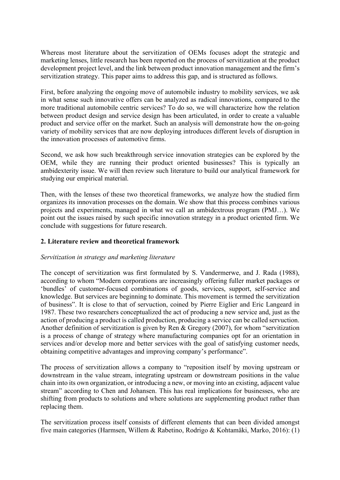Whereas most literature about the servitization of OEMs focuses adopt the strategic and marketing lenses, little research has been reported on the process of servitization at the product development project level, and the link between product innovation management and the firm's servitization strategy. This paper aims to address this gap, and is structured as follows.

First, before analyzing the ongoing move of automobile industry to mobility services, we ask in what sense such innovative offers can be analyzed as radical innovations, compared to the more traditional automobile centric services? To do so, we will characterize how the relation between product design and service design has been articulated, in order to create a valuable product and service offer on the market. Such an analysis will demonstrate how the on-going variety of mobility services that are now deploying introduces different levels of disruption in the innovation processes of automotive firms.

Second, we ask how such breakthrough service innovation strategies can be explored by the OEM, while they are running their product oriented businesses? This is typically an ambidexterity issue. We will then review such literature to build our analytical framework for studying our empirical material.

Then, with the lenses of these two theoretical frameworks, we analyze how the studied firm organizes its innovation processes on the domain. We show that this process combines various projects and experiments, managed in what we call an ambidextrous program (PMJ…). We point out the issues raised by such specific innovation strategy in a product oriented firm. We conclude with suggestions for future research.

# **2. Literature review and theoretical framework**

# *Servitization in strategy and marketing literature*

The concept of servitization was first formulated by S. Vandermerwe, and J. Rada (1988), according to whom "Modern corporations are increasingly offering fuller market packages or 'bundles' of customer-focused combinations of goods, services, support, self-service and knowledge. But services are beginning to dominate. This movement is termed the servitization of business". It is close to that of servuction, coined by Pierre Eiglier and Eric Langeard in 1987. These two researchers conceptualized the act of producing a new service and, just as the action of producing a product is called production, producing a service can be called servuction. Another definition of servitization is given by Ren & Gregory (2007), for whom "servitization is a process of change of strategy where manufacturing companies opt for an orientation in services and/or develop more and better services with the goal of satisfying customer needs, obtaining competitive advantages and improving company's performance".

The process of servitization allows a company to "reposition itself by moving upstream or downstream in the value stream, integrating upstream or downstream positions in the value chain into its own organization, or introducing a new, or moving into an existing, adjacent value stream" according to Chen and Johansen. This has real implications for businesses, who are shifting from products to solutions and where solutions are supplementing product rather than replacing them.

The servitization process itself consists of different elements that can been divided amongst five main categories (Harmsen, Willem & Rabetino, Rodrigo & Kohtamäki, Marko, 2016): (1)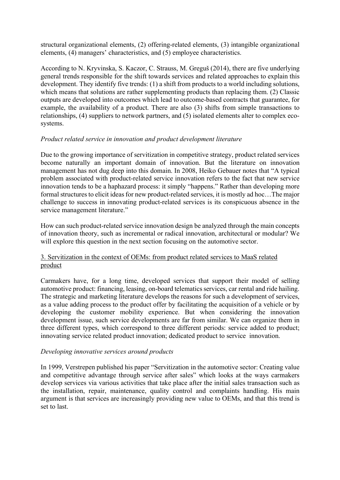structural organizational elements, (2) offering-related elements, (3) intangible organizational elements, (4) managers' characteristics, and (5) employee characteristics.

According to N. Kryvinska, S. Kaczor, C. Strauss, M. Greguš (2014), there are five underlying general trends responsible for the shift towards services and related approaches to explain this development. They identify five trends: (1) a shift from products to a world including solutions, which means that solutions are rather supplementing products than replacing them. (2) Classic outputs are developed into outcomes which lead to outcome-based contracts that guarantee, for example, the availability of a product. There are also (3) shifts from simple transactions to relationships, (4) suppliers to network partners, and (5) isolated elements alter to complex ecosystems.

# *Product related service in innovation and product development literature*

Due to the growing importance of servitization in competitive strategy, product related services become naturally an important domain of innovation. But the literature on innovation management has not dug deep into this domain. In 2008, Heiko Gebauer notes that "A typical problem associated with product-related service innovation refers to the fact that new service innovation tends to be a haphazard process: it simply "happens." Rather than developing more formal structures to elicit ideas for new product-related services, it is mostly ad hoc…The major challenge to success in innovating product-related services is its conspicuous absence in the service management literature."

How can such product-related service innovation design be analyzed through the main concepts of innovation theory, such as incremental or radical innovation, architectural or modular? We will explore this question in the next section focusing on the automotive sector.

### 3. Servitization in the context of OEMs: from product related services to MaaS related product

Carmakers have, for a long time, developed services that support their model of selling automotive product: financing, leasing, on-board telematics services, car rental and ride hailing. The strategic and marketing literature develops the reasons for such a development of services, as a value adding process to the product offer by facilitating the acquisition of a vehicle or by developing the customer mobility experience. But when considering the innovation development issue, such service developments are far from similar. We can organize them in three different types, which correspond to three different periods: service added to product; innovating service related product innovation; dedicated product to service innovation.

# *Developing innovative services around products*

In 1999, Verstrepen published his paper "Servitization in the automotive sector: Creating value and competitive advantage through service after sales" which looks at the ways carmakers develop services via various activities that take place after the initial sales transaction such as the installation, repair, maintenance, quality control and complaints handling. His main argument is that services are increasingly providing new value to OEMs, and that this trend is set to last.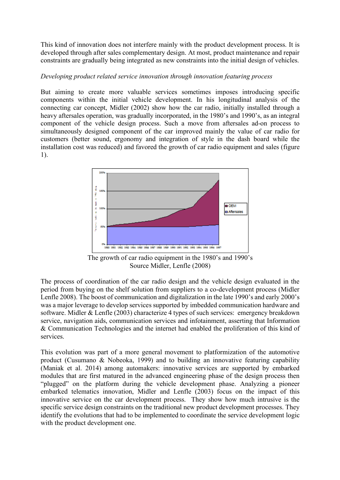This kind of innovation does not interfere mainly with the product development process. It is developed through after sales complementary design. At most, product maintenance and repair constraints are gradually being integrated as new constraints into the initial design of vehicles.

# *Developing product related service innovation through innovation featuring process*

But aiming to create more valuable services sometimes imposes introducing specific components within the initial vehicle development. In his longitudinal analysis of the connecting car concept, Midler (2002) show how the car radio, initially installed through a heavy aftersales operation, was gradually incorporated, in the 1980's and 1990's, as an integral component of the vehicle design process. Such a move from aftersales ad-on process to simultaneously designed component of the car improved mainly the value of car radio for customers (better sound, ergonomy and integration of style in the dash board while the installation cost was reduced) and favored the growth of car radio equipment and sales (figure 1).



The growth of car radio equipment in the 1980's and 1990's Source Midler, Lenfle (2008)

The process of coordination of the car radio design and the vehicle design evaluated in the period from buying on the shelf solution from suppliers to a co-development process (Midler Lenfle 2008). The boost of communication and digitalization in the late 1990's and early 2000's was a major leverage to develop services supported by imbedded communication hardware and software. Midler & Lenfle (2003) characterize 4 types of such services: emergency breakdown service, navigation aids, communication services and infotainment, asserting that Information & Communication Technologies and the internet had enabled the proliferation of this kind of services.

This evolution was part of a more general movement to platformization of the automotive product (Cusumano & Nobeoka, 1999) and to building an innovative featuring capability (Maniak et al. 2014) among automakers: innovative services are supported by embarked modules that are first matured in the advanced engineering phase of the design process then "plugged" on the platform during the vehicle development phase. Analyzing a pioneer embarked telematics innovation, Midler and Lenfle (2003) focus on the impact of this innovative service on the car development process. They show how much intrusive is the specific service design constraints on the traditional new product development processes. They identify the evolutions that had to be implemented to coordinate the service development logic with the product development one.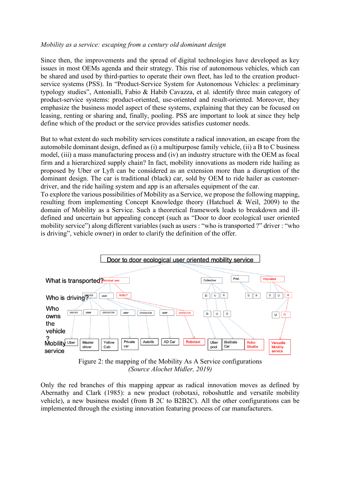#### *Mobility as a service: escaping from a century old dominant design*

Since then, the improvements and the spread of digital technologies have developed as key issues in most OEMs agenda and their strategy. This rise of autonomous vehicles, which can be shared and used by third-parties to operate their own fleet, has led to the creation productservice systems (PSS). In "Product-Service System for Autonomous Vehicles: a preliminary typology studies", Antonialli, Fabio & Habib Cavazza, et al. identify three main category of product-service systems: product-oriented, use-oriented and result-oriented. Moreover, they emphasize the business model aspect of these systems, explaining that they can be focused on leasing, renting or sharing and, finally, pooling. PSS are important to look at since they help define which of the product or the service provides satisfies customer needs.

But to what extent do such mobility services constitute a radical innovation, an escape from the automobile dominant design, defined as (i) a multipurpose family vehicle, (ii) a B to C business model, (iii) a mass manufacturing process and (iv) an industry structure with the OEM as focal firm and a hierarchized supply chain? In fact, mobility innovations as modern ride hailing as proposed by Uber or Lyft can be considered as an extension more than a disruption of the dominant design. The car is traditional (black) car, sold by OEM to ride hailer as customerdriver, and the ride hailing system and app is an aftersales equipment of the car.

To explore the various possibilities of Mobility as a Service, we propose the following mapping, resulting from implementing Concept Knowledge theory (Hatchuel & Weil, 2009) to the domain of Mobility as a Service. Such a theoretical framework leads to breakdown and illdefined and uncertain but appealing concept (such as "Door to door ecological user oriented mobility service") along different variables (such as users : "who is transported ?" driver : "who is driving", vehicle owner) in order to clarify the definition of the offer.



Figure 2: the mapping of the Mobility As A Service configurations *(Source Alochet Midler, 2019)*

Only the red branches of this mapping appear as radical innovation moves as defined by Abernathy and Clark (1985): a new product (robotaxi, roboshuttle and versatile mobility vehicle), a new business model (from B 2C to B2B2C). All the other configurations can be implemented through the existing innovation featuring process of car manufacturers.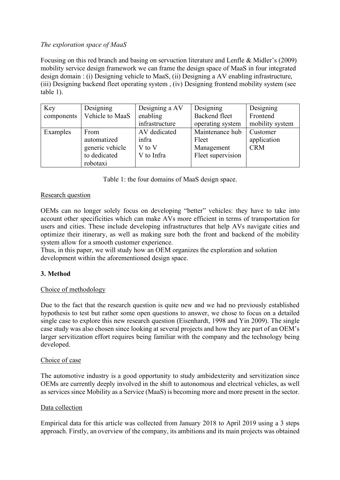# *The exploration space of MaaS*

Focusing on this red branch and basing on servuction literature and Lenfle & Midler's (2009) mobility service design framework we can frame the design space of MaaS in four integrated design domain : (i) Designing vehicle to MaaS, (ii) Designing a AV enabling infrastructure, (iii) Designing backend fleet operating system , (iv) Designing frontend mobility system (see table 1).

| Key        | Designing       | Designing a AV | Designing         | Designing       |
|------------|-----------------|----------------|-------------------|-----------------|
| components | Vehicle to MaaS | enabling       | Backend fleet     | Frontend        |
|            |                 | infrastructure | operating system  | mobility system |
| Examples   | From            | AV dedicated   | Maintenance hub   | Customer        |
|            | automatized     | infra          | Fleet             | application     |
|            | generic vehicle | V to V         | Management        | <b>CRM</b>      |
|            | to dedicated    | V to Infra     | Fleet supervision |                 |
|            | robotaxi        |                |                   |                 |

Table 1: the four domains of MaaS design space.

# Research question

OEMs can no longer solely focus on developing "better" vehicles: they have to take into account other specificities which can make AVs more efficient in terms of transportation for users and cities. These include developing infrastructures that help AVs navigate cities and optimize their itinerary, as well as making sure both the front and backend of the mobility system allow for a smooth customer experience.

Thus, in this paper, we will study how an OEM organizes the exploration and solution development within the aforementioned design space.

# **3. Method**

# Choice of methodology

Due to the fact that the research question is quite new and we had no previously established hypothesis to test but rather some open questions to answer, we chose to focus on a detailed single case to explore this new research question (Eisenhardt, 1998 and Yin 2009). The single case study was also chosen since looking at several projects and how they are part of an OEM's larger servitization effort requires being familiar with the company and the technology being developed.

#### Choice of case

The automotive industry is a good opportunity to study ambidexterity and servitization since OEMs are currently deeply involved in the shift to autonomous and electrical vehicles, as well as services since Mobility as a Service (MaaS) is becoming more and more present in the sector.

# Data collection

Empirical data for this article was collected from January 2018 to April 2019 using a 3 steps approach. Firstly, an overview of the company, its ambitions and its main projects was obtained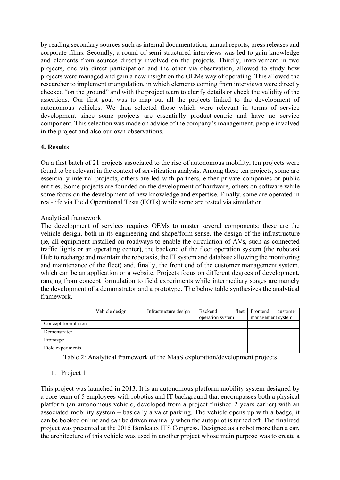by reading secondary sources such as internal documentation, annual reports, press releases and corporate films. Secondly, a round of semi-structured interviews was led to gain knowledge and elements from sources directly involved on the projects. Thirdly, involvement in two projects, one via direct participation and the other via observation, allowed to study how projects were managed and gain a new insight on the OEMs way of operating. This allowed the researcher to implement triangulation, in which elements coming from interviews were directly checked "on the ground" and with the project team to clarify details or check the validity of the assertions. Our first goal was to map out all the projects linked to the development of autonomous vehicles. We then selected those which were relevant in terms of service development since some projects are essentially product-centric and have no service component. This selection was made on advice of the company's management, people involved in the project and also our own observations.

# **4. Results**

On a first batch of 21 projects associated to the rise of autonomous mobility, ten projects were found to be relevant in the context of servitization analysis. Among these ten projects, some are essentially internal projects, others are led with partners, either private companies or public entities. Some projects are founded on the development of hardware, others on software while some focus on the development of new knowledge and expertise. Finally, some are operated in real-life via Field Operational Tests (FOTs) while some are tested via simulation.

# Analytical framework

The development of services requires OEMs to master several components: these are the vehicle design, both in its engineering and shape/form sense, the design of the infrastructure (ie, all equipment installed on roadways to enable the circulation of AVs, such as connected traffic lights or an operating center), the backend of the fleet operation system (the robotaxi Hub to recharge and maintain the robotaxis, the IT system and database allowing the monitoring and maintenance of the fleet) and, finally, the front end of the customer management system, which can be an application or a website. Projects focus on different degrees of development, ranging from concept formulation to field experiments while intermediary stages are namely the development of a demonstrator and a prototype. The below table synthesizes the analytical framework.

|                     | Vehicle design | Infrastructure design | Backend<br>fleet<br>operation system | Frontend<br>customer<br>management system |
|---------------------|----------------|-----------------------|--------------------------------------|-------------------------------------------|
| Concept formulation |                |                       |                                      |                                           |
| Demonstrator        |                |                       |                                      |                                           |
| Prototype           |                |                       |                                      |                                           |
| Field experiments   |                |                       |                                      |                                           |

Table 2: Analytical framework of the MaaS exploration/development projects

# 1. Project 1

This project was launched in 2013. It is an autonomous platform mobility system designed by a core team of 5 employees with robotics and IT background that encompasses both a physical platform (an autonomous vehicle, developed from a project finished 2 years earlier) with an associated mobility system – basically a valet parking. The vehicle opens up with a badge, it can be booked online and can be driven manually when the autopilot is turned off. The finalized project was presented at the 2015 Bordeaux ITS Congress. Designed as a robot more than a car, the architecture of this vehicle was used in another project whose main purpose was to create a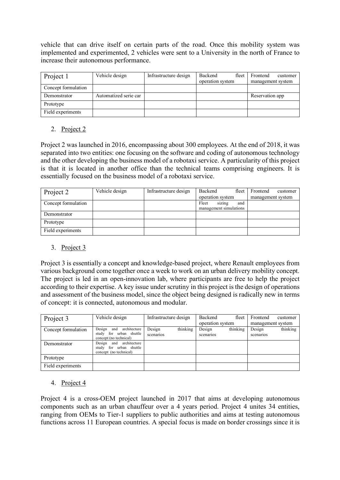vehicle that can drive itself on certain parts of the road. Once this mobility system was implemented and experimented, 2 vehicles were sent to a University in the north of France to increase their autonomous performance.

| Project 1           | Vehicle design        | Infrastructure design | Backend<br>fleet<br>operation system | Frontend<br>customer<br>management system |
|---------------------|-----------------------|-----------------------|--------------------------------------|-------------------------------------------|
| Concept formulation |                       |                       |                                      |                                           |
| Demonstrator        | Automatized serie car |                       |                                      | Reservation app                           |
| Prototype           |                       |                       |                                      |                                           |
| Field experiments   |                       |                       |                                      |                                           |

# 2. Project 2

Project 2 was launched in 2016, encompassing about 300 employees. At the end of 2018, it was separated into two entities: one focusing on the software and coding of autonomous technology and the other developing the business model of a robotaxi service. A particularity of this project is that it is located in another office than the technical teams comprising engineers. It is essentially focused on the business model of a robotaxi service.

| Project 2           | Vehicle design | Infrastructure design | Backend<br>fleet       | Frontend<br>customer |
|---------------------|----------------|-----------------------|------------------------|----------------------|
|                     |                |                       | operation system       | management system    |
| Concept formulation |                |                       | Fleet<br>sizing<br>and |                      |
|                     |                |                       | management simulations |                      |
| Demonstrator        |                |                       |                        |                      |
| Prototype           |                |                       |                        |                      |
| Field experiments   |                |                       |                        |                      |

# 3. Project 3

Project 3 is essentially a concept and knowledge-based project, where Renault employees from various background come together once a week to work on an urban delivery mobility concept. The project is led in an open-innovation lab, where participants are free to help the project according to their expertise. A key issue under scrutiny in this project is the design of operations and assessment of the business model, since the object being designed is radically new in terms of concept: it is connected, autonomous and modular.

| Project 3           | Vehicle design                                                                  | Infrastructure design           | Backend<br>operation system | fleet    | Frontend<br>management system | customer |
|---------------------|---------------------------------------------------------------------------------|---------------------------------|-----------------------------|----------|-------------------------------|----------|
| Concept formulation | Design and architecture<br>study for urban shuttle<br>concept (no technical)    | Design<br>thinking<br>scenarios | Design<br>scenarios         | thinking | Design<br>scenarios           | thinking |
| Demonstrator        | Design<br>and architecture<br>study for urban shuttle<br>concept (no technical) |                                 |                             |          |                               |          |
| Prototype           |                                                                                 |                                 |                             |          |                               |          |
| Field experiments   |                                                                                 |                                 |                             |          |                               |          |

# 4. Project 4

Project 4 is a cross-OEM project launched in 2017 that aims at developing autonomous components such as an urban chauffeur over a 4 years period. Project 4 unites 34 entities, ranging from OEMs to Tier-1 suppliers to public authorities and aims at testing autonomous functions across 11 European countries. A special focus is made on border crossings since it is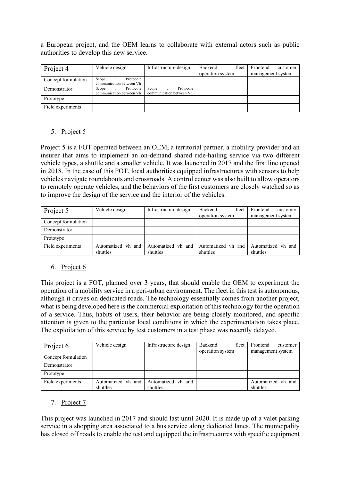a European project, and the OEM learns to collaborate with external actors such as public authorities to develop this new service.

| Project 4           | Vehicle design                                 | Infrastructure design                          | Backend<br>fleet<br>operation system | Frontend<br>customer<br>management system |
|---------------------|------------------------------------------------|------------------------------------------------|--------------------------------------|-------------------------------------------|
| Concept formulation | Protocole<br>Scope<br>communication between Vh |                                                |                                      |                                           |
| Demonstrator        | Protocole<br>Scope<br>communication between Vh | Scope<br>Protocole<br>communication between Vh |                                      |                                           |
| Prototype           |                                                |                                                |                                      |                                           |
| Field experiments   |                                                |                                                |                                      |                                           |

# 5. Project 5

Project 5 is a FOT operated between an OEM, a territorial partner, a mobility provider and an insurer that aims to implement an on-demand shared ride-hailing service via two different vehicle types, a shuttle and a smaller vehicle. It was launched in 2017 and the first line opened in 2018. In the case of this FOT, local authorities equipped infrastructures with sensors to help vehicles navigate roundabouts and crossroads. A control center was also built to allow operators to remotely operate vehicles, and the behaviors of the first customers are closely watched so as to improve the design of the service and the interior of the vehicles.

| Project 5           | Vehicle design                 | Infrastructure design          | Backend<br>fleet<br>operation system | Frontend<br>customer<br>management system |
|---------------------|--------------------------------|--------------------------------|--------------------------------------|-------------------------------------------|
| Concept formulation |                                |                                |                                      |                                           |
| Demonstrator        |                                |                                |                                      |                                           |
| Prototype           |                                |                                |                                      |                                           |
| Field experiments   | Automatized vh and<br>shuttles | Automatized vh and<br>shuttles | Automatized vh and<br>shuttles       | Automatized vh and<br>shuttles            |

# 6. Project 6

This project is a FOT, planned over 3 years, that should enable the OEM to experiment the operation of a mobility service in a peri-urban environment. The fleet in this test is autonomous, although it drives on dedicated roads. The technology essentially comes from another project, what is being developed here is the commercial exploitation of this technology for the operation of a service. Thus, habits of users, their behavior are being closely monitored, and specific attention is given to the particular local conditions in which the experimentation takes place. The exploitation of this service by test customers in a test phase was recently delayed.

| Project 6           | Vehicle design                 | Infrastructure design          | Backend<br>fleet<br>operation system | Frontend<br>customer<br>management system |
|---------------------|--------------------------------|--------------------------------|--------------------------------------|-------------------------------------------|
| Concept formulation |                                |                                |                                      |                                           |
| Demonstrator        |                                |                                |                                      |                                           |
| Prototype           |                                |                                |                                      |                                           |
| Field experiments   | Automatized vh and<br>shuttles | Automatized vh and<br>shuttles |                                      | Automatized vh and<br>shuttles            |

# 7. Project 7

This project was launched in 2017 and should last until 2020. It is made up of a valet parking service in a shopping area associated to a bus service along dedicated lanes. The municipality has closed off roads to enable the test and equipped the infrastructures with specific equipment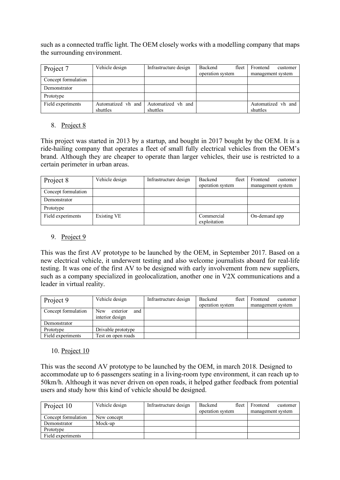such as a connected traffic light. The OEM closely works with a modelling company that maps the surrounding environment.

| Project 7           | Vehicle design                 | Infrastructure design          | Backend<br>fleet<br>operation system | Frontend<br>customer<br>management system |
|---------------------|--------------------------------|--------------------------------|--------------------------------------|-------------------------------------------|
| Concept formulation |                                |                                |                                      |                                           |
| Demonstrator        |                                |                                |                                      |                                           |
| Prototype           |                                |                                |                                      |                                           |
| Field experiments   | Automatized vh and<br>shuttles | Automatized vh and<br>shuttles |                                      | Automatized vh and<br>shuttles            |

### 8. Project 8

This project was started in 2013 by a startup, and bought in 2017 bought by the OEM. It is a ride-hailing company that operates a fleet of small fully electrical vehicles from the OEM's brand. Although they are cheaper to operate than larger vehicles, their use is restricted to a certain perimeter in urban areas.

| Project 8           | Vehicle design     | Infrastructure design | Backend<br>fleet<br>operation system | Frontend<br>customer<br>management system |
|---------------------|--------------------|-----------------------|--------------------------------------|-------------------------------------------|
| Concept formulation |                    |                       |                                      |                                           |
| Demonstrator        |                    |                       |                                      |                                           |
| Prototype           |                    |                       |                                      |                                           |
| Field experiments   | <b>Existing VE</b> |                       | Commercial<br>exploitation           | On-demand app                             |

### 9. Project 9

This was the first AV prototype to be launched by the OEM, in September 2017. Based on a new electrical vehicle, it underwent testing and also welcome journalists aboard for real-life testing. It was one of the first AV to be designed with early involvement from new suppliers, such as a company specialized in geolocalization, another one in V2X communications and a leader in virtual reality.

| Project 9           | Vehicle design                                   | Infrastructure design | Backend<br>fleet | Frontend<br>customer |
|---------------------|--------------------------------------------------|-----------------------|------------------|----------------------|
|                     |                                                  |                       | operation system | management system    |
| Concept formulation | <b>New</b><br>exterior<br>and<br>interior design |                       |                  |                      |
| Demonstrator        |                                                  |                       |                  |                      |
| Prototype           | Drivable prototype                               |                       |                  |                      |
| Field experiments   | Test on open roads                               |                       |                  |                      |

# 10. Project 10

This was the second AV prototype to be launched by the OEM, in march 2018. Designed to accommodate up to 6 passengers seating in a living-room type environment, it can reach up to 50km/h. Although it was never driven on open roads, it helped gather feedback from potential users and study how this kind of vehicle should be designed.

| Project 10          | Vehicle design | Infrastructure design | Backend<br>fleet | Frontend<br>customer |
|---------------------|----------------|-----------------------|------------------|----------------------|
|                     |                |                       | operation system | management system    |
| Concept formulation | New concept    |                       |                  |                      |
| Demonstrator        | Mock-up        |                       |                  |                      |
| Prototype           |                |                       |                  |                      |
| Field experiments   |                |                       |                  |                      |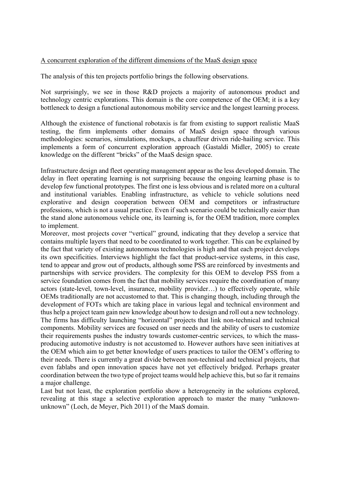#### A concurrent exploration of the different dimensions of the MaaS design space

The analysis of this ten projects portfolio brings the following observations.

Not surprisingly, we see in those R&D projects a majority of autonomous product and technology centric explorations. This domain is the core competence of the OEM; it is a key bottleneck to design a functional autonomous mobility service and the longest learning process.

Although the existence of functional robotaxis is far from existing to support realistic MaaS testing, the firm implements other domains of MaaS design space through various methodologies: scenarios, simulations, mockups, a chauffeur driven ride-hailing service. This implements a form of concurrent exploration approach (Gastaldi Midler, 2005) to create knowledge on the different "bricks" of the MaaS design space.

Infrastructure design and fleet operating management appear as the less developed domain. The delay in fleet operating learning is not surprising because the ongoing learning phase is to develop few functional prototypes. The first one is less obvious and is related more on a cultural and institutional variables. Enabling infrastructure, as vehicle to vehicle solutions need explorative and design cooperation between OEM and competitors or infrastructure professions, which is not a usual practice. Even if such scenario could be technically easier than the stand alone autonomous vehicle one, its learning is, for the OEM tradition, more complex to implement.

Moreover, most projects cover "vertical" ground, indicating that they develop a service that contains multiple layers that need to be coordinated to work together. This can be explained by the fact that variety of existing autonomous technologies is high and that each project develops its own specificities. Interviews highlight the fact that product-service systems, in this case, tend to appear and grow out of products, although some PSS are reinforced by investments and partnerships with service providers. The complexity for this OEM to develop PSS from a service foundation comes from the fact that mobility services require the coordination of many actors (state-level, town-level, insurance, mobility provider…) to effectively operate, while OEMs traditionally are not accustomed to that. This is changing though, including through the development of FOTs which are taking place in various legal and technical environment and thus help a project team gain new knowledge about how to design and roll out a new technology. The firms has difficulty launching "horizontal" projects that link non-technical and technical components. Mobility services are focused on user needs and the ability of users to customize their requirements pushes the industry towards customer-centric services, to which the massproducing automotive industry is not accustomed to. However authors have seen initiatives at the OEM which aim to get better knowledge of users practices to tailor the OEM's offering to their needs. There is currently a great divide between non-technical and technical projects, that even fablabs and open innovation spaces have not yet effectively bridged. Perhaps greater coordination between the two type of project teams would help achieve this, but so far it remains a major challenge.

Last but not least, the exploration portfolio show a heterogeneity in the solutions explored, revealing at this stage a selective exploration approach to master the many "unknownunknown" (Loch, de Meyer, Pich 2011) of the MaaS domain.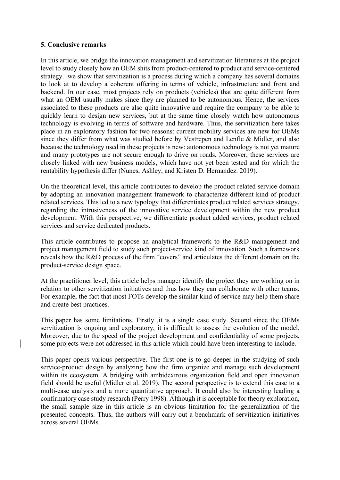#### **5. Conclusive remarks**

In this article, we bridge the innovation management and servitization literatures at the project level to study closely how an OEM shits from product-centered to product and service-centered strategy. we show that servitization is a process during which a company has several domains to look at to develop a coherent offering in terms of vehicle, infrastructure and front and backend. In our case, most projects rely on products (vehicles) that are quite different from what an OEM usually makes since they are planned to be autonomous. Hence, the services associated to these products are also quite innovative and require the company to be able to quickly learn to design new services, but at the same time closely watch how autonomous technology is evolving in terms of software and hardware. Thus, the servitization here takes place in an exploratory fashion for two reasons: current mobility services are new for OEMs since they differ from what was studied before by Vestrepen and Lenfle & Midler, and also because the technology used in these projects is new: autonomous technology is not yet mature and many prototypes are not secure enough to drive on roads. Moreover, these services are closely linked with new business models, which have not yet been tested and for which the rentability hypothesis differ (Nunes, Ashley, and Kristen D. Hernandez. 2019).

On the theoretical level, this article contributes to develop the product related service domain by adopting an innovation management framework to characterize different kind of product related services. This led to a new typology that differentiates product related services strategy, regarding the intrusiveness of the innovative service development within the new product development. With this perspective, we differentiate product added services, product related services and service dedicated products.

This article contributes to propose an analytical framework to the R&D management and project management field to study such project-service kind of innovation. Such a framework reveals how the R&D process of the firm "covers" and articulates the different domain on the product-service design space.

At the practitioner level, this article helps manager identify the project they are working on in relation to other servitization initiatives and thus how they can collaborate with other teams. For example, the fact that most FOTs develop the similar kind of service may help them share and create best practices.

This paper has some limitations. Firstly ,it is a single case study. Second since the OEMs servitization is ongoing and exploratory, it is difficult to assess the evolution of the model. Moreover, due to the speed of the project development and confidentiality of some projects, some projects were not addressed in this article which could have been interesting to include.

This paper opens various perspective. The first one is to go deeper in the studying of such service-product design by analyzing how the firm organize and manage such development within its ecosystem. A bridging with ambidextrous organization field and open innovation field should be useful (Midler et al. 2019). The second perspective is to extend this case to a multi-case analysis and a more quantitative approach. It could also be interesting leading a confirmatory case study research (Perry 1998). Although it is acceptable for theory exploration, the small sample size in this article is an obvious limitation for the generalization of the presented concepts. Thus, the authors will carry out a benchmark of servitization initiatives across several OEMs.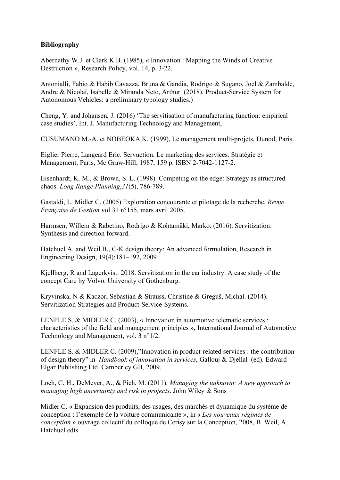### **Bibliography**

Abernathy W.J. et Clark K.B. (1985), « Innovation : Mapping the Winds of Creative Destruction », Research Policy, vol. 14, p. 3-22.

Antonialli, Fabio & Habib Cavazza, Bruna & Gandia, Rodrigo & Sugano, Joel & Zambalde, Andre & Nicolaï, Isabelle & Miranda Neto, Arthur. (2018). Product-Service System for Autonomous Vehicles: a preliminary typology studies.)

Cheng, Y. and Johansen, J. (2016) 'The servitisation of manufacturing function: empirical case studies', Int. J. Manufacturing Technology and Management,

CUSUMANO M.-A. et NOBEOKA K. (1999), Le management multi-projets, Dunod, Paris.

Eiglier Pierre, Langeard Eric. Servuction. Le marketing des services. Stratégie et Management, Paris, Mc Graw-Hill, 1987, 159 p. ISBN 2-7042-1127-2.

Eisenhardt, K. M., & Brown, S. L. (1998). Competing on the edge: Strategy as structured chaos. *Long Range Planning*,*31*(5), 786-789.

Gastaldi, L. Midler C. (2005) Exploration concourante et pilotage de la recherche, *Revue Française de Gestion* vol 31 n°155, mars avril 2005.

Harmsen, Willem & Rabetino, Rodrigo & Kohtamäki, Marko. (2016). Servitization: Synthesis and direction forward.

Hatchuel A. and Weil B., C-K design theory: An advanced formulation, Research in Engineering Design, 19(4):181–192, 2009

Kjellberg, R and Lagerkvist. 2018. Servitization in the car industry. A case study of the concept Care by Volvo. University of Gothenburg.

Kryvinska, N & Kaczor, Sebastian & Strauss, Christine & Greguš, Michal. (2014). Servitization Strategies and Product-Service-Systems.

LENFLE S. & MIDLER C. (2003), « Innovation in automotive telematic services : characteristics of the field and management principles », International Journal of Automotive Technology and Management, vol. 3 n°1/2.

LENFLE S. & MIDLER C. (2009),"Innovation in product-related services : the contribution of design theory" in *Handbook of innovation in services*, Gallouj & Djellal (ed). Edward Elgar Publishing Ltd. Camberley GB, 2009.

Loch, C. H., DeMeyer, A., & Pich, M. (2011). *Managing the unknown: A new approach to managing high uncertainty and risk in projects*. John Wiley & Sons

Midler C. « Expansion des produits, des usages, des marchés et dynamique du système de conception : l'exemple de la voiture communicante », in « *Les nouveaux régimes de conception* » ouvrage collectif du colloque de Cerisy sur la Conception, 2008, B. Weil, A. Hatchuel edts